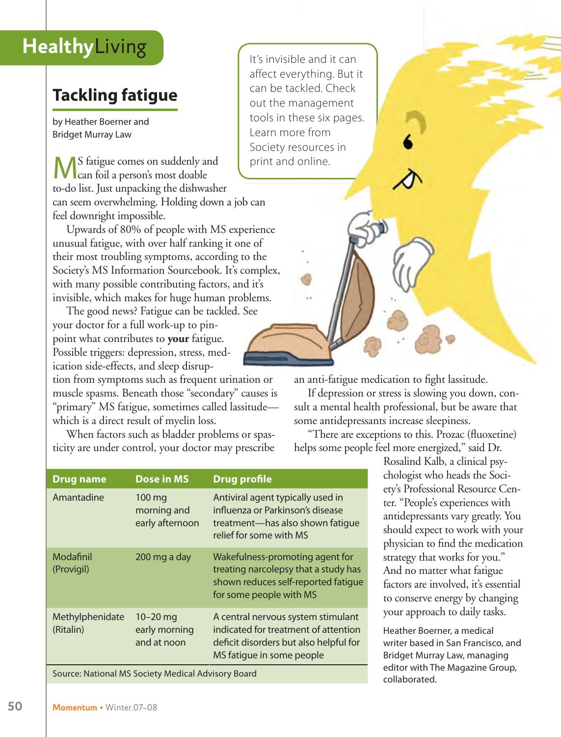## **Tackling fatigue**

by Heather Boerner and Bridget Murray Law

S fatigue comes on suddenly and can foil a person's most doable to-do list. Just unpacking the dishwasher can seem overwhelming. Holding down a job can feel downright impossible.

Upwards of 80% of people with MS experience unusual fatigue, with over half ranking it one of their most troubling symptoms, according to the Society's MS Information Sourcebook. It's complex, with many possible contributing factors, and it's invisible, which makes for huge human problems.

The good news? Fatigue can be tackled. See your doctor for a full work-up to pinpoint what contributes to **your** fatigue. Possible triggers: depression, stress, medication side-effects, and sleep disrup-

tion from symptoms such as frequent urination or muscle spasms. Beneath those "secondary" causes is "primary" MS fatigue, sometimes called lassitude which is a direct result of myelin loss.

When factors such as bladder problems or spasticity are under control, your doctor may prescribe

**Drug name Dose in MS Drug profile**

an anti-fatigue medication to fight lassitude.

If depression or stress is slowing you down, consult a mental health professional, but be aware that some antidepressants increase sleepiness.

"There are exceptions to this. Prozac (fluoxetine) helps some people feel more energized," said Dr.

> Rosalind Kalb, a clinical psychologist who heads the Society's Professional Resource Center. "People's experiences with antidepressants vary greatly. You should expect to work with your physician to find the medication strategy that works for you." And no matter what fatigue factors are involved, it's essential to conserve energy by changing your approach to daily tasks.

> Heather Boerner, a medical writer based in San Francisco, and Bridget Murray Law, managing editor with The Magazine Group, collaborated.

| Amantadine                                         | $100 \,\mathrm{mg}$<br>morning and<br>early afternoon | Antiviral agent typically used in<br>influenza or Parkinson's disease<br>treatment-has also shown fatique<br>relief for some with MS              |
|----------------------------------------------------|-------------------------------------------------------|---------------------------------------------------------------------------------------------------------------------------------------------------|
| Modafinil<br>(Provigil)                            | 200 mg a day                                          | Wakefulness-promoting agent for<br>treating narcolepsy that a study has<br>shown reduces self-reported fatique<br>for some people with MS         |
| Methylphenidate<br>(Ritalin)                       | $10 - 20$ mg<br>early morning<br>and at noon          | A central nervous system stimulant<br>indicated for treatment of attention<br>deficit disorders but also helpful for<br>MS fatigue in some people |
| Source: National MS Society Medical Advisory Board |                                                       |                                                                                                                                                   |

It's invisible and it can affect everything. But it can be tackled. Check out the management tools in these six pages. Learn more from Society resources in print and online.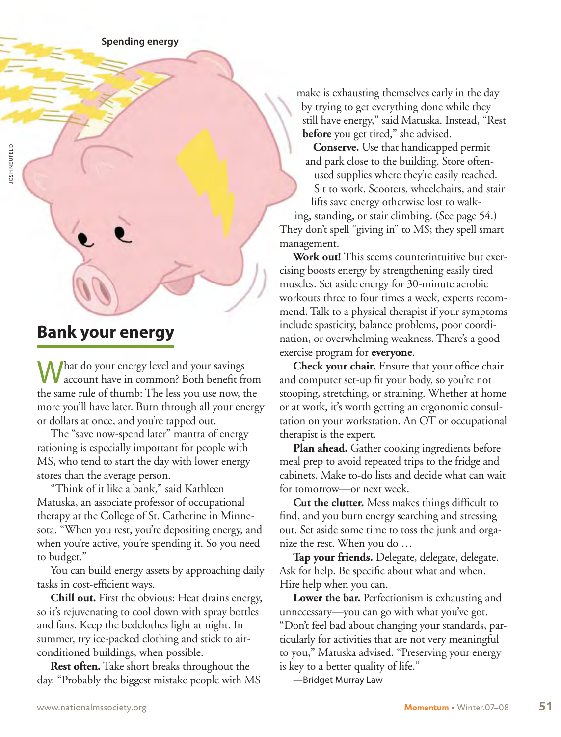## **Bank your energy**

What do your energy level and your savings account have in common? Both benefit from the same rule of thumb: The less you use now, the more you'll have later. Burn through all your energy or dollars at once, and you're tapped out.

The "save now-spend later" mantra of energy rationing is especially important for people with MS, who tend to start the day with lower energy stores than the average person.

"Think of it like a bank," said Kathleen Matuska, an associate professor of occupational therapy at the College of St. Catherine in Minnesota. "When you rest, you're depositing energy, and when you're active, you're spending it. So you need to budget."

You can build energy assets by approaching daily tasks in cost-efficient ways.

**Chill out.** First the obvious: Heat drains energy, so it's rejuvenating to cool down with spray bottles and fans. Keep the bedclothes light at night. In summer, try ice-packed clothing and stick to airconditioned buildings, when possible.

**Rest often.** Take short breaks throughout the day. "Probably the biggest mistake people with MS make is exhausting themselves early in the day by trying to get everything done while they still have energy," said Matuska. Instead, "Rest **before** you get tired," she advised.

**Conserve.** Use that handicapped permit and park close to the building. Store oftenused supplies where they're easily reached. Sit to work. Scooters, wheelchairs, and stair lifts save energy otherwise lost to walk-

ing, standing, or stair climbing. (See page 54.) They don't spell "giving in" to MS; they spell smart management.

**Work out!** This seems counterintuitive but exercising boosts energy by strengthening easily tired muscles. Set aside energy for 30-minute aerobic workouts three to four times a week, experts recommend. Talk to a physical therapist if your symptoms include spasticity, balance problems, poor coordination, or overwhelming weakness. There's a good exercise program for **everyone**.

**Check your chair.** Ensure that your office chair and computer set-up fit your body, so you're not stooping, stretching, or straining. Whether at home or at work, it's worth getting an ergonomic consultation on your workstation. An OT or occupational therapist is the expert.

**Plan ahead.** Gather cooking ingredients before meal prep to avoid repeated trips to the fridge and cabinets. Make to-do lists and decide what can wait for tomorrow—or next week.

**Cut the clutter.** Mess makes things difficult to find, and you burn energy searching and stressing out. Set aside some time to toss the junk and organize the rest. When you do …

**Tap your friends.** Delegate, delegate, delegate. Ask for help. Be specific about what and when. Hire help when you can.

**Lower the bar.** Perfectionism is exhausting and unnecessary—you can go with what you've got. "Don't feel bad about changing your standards, particularly for activities that are not very meaningful to you," Matuska advised. "Preserving your energy is key to a better quality of life."

—Bridget Murray Law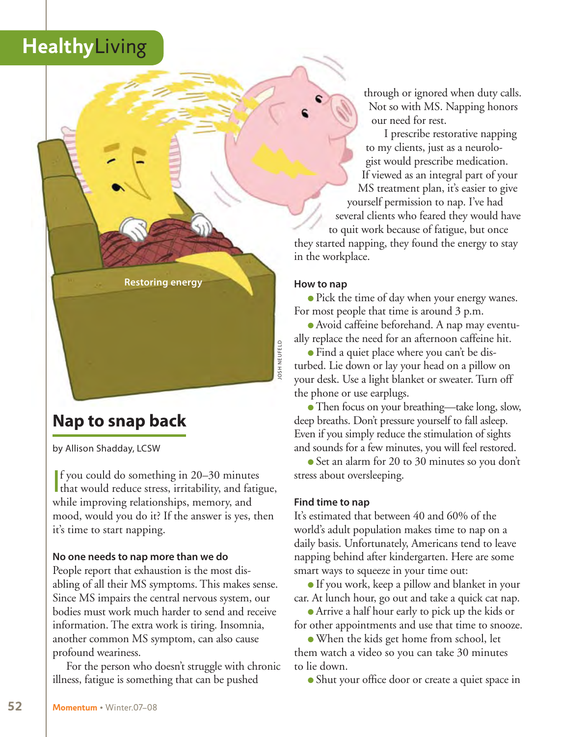**Restoring energy**

## **Nap to snap back**

by Allison Shadday, LCSW

If you could do something in 20–30 minutes<br>that would reduce stress, irritability, and fatigue, f you could do something in 20–30 minutes while improving relationships, memory, and mood, would you do it? If the answer is yes, then it's time to start napping.

#### **No one needs to nap more than we do**

People report that exhaustion is the most disabling of all their MS symptoms. This makes sense. Since MS impairs the central nervous system, our bodies must work much harder to send and receive information. The extra work is tiring. Insomnia, another common MS symptom, can also cause profound weariness.

For the person who doesn't struggle with chronic illness, fatigue is something that can be pushed

through or ignored when duty calls. Not so with MS. Napping honors our need for rest.

I prescribe restorative napping to my clients, just as a neurologist would prescribe medication. If viewed as an integral part of your MS treatment plan, it's easier to give yourself permission to nap. I've had several clients who feared they would have to quit work because of fatigue, but once

### they started napping, they found the energy to stay in the workplace.

#### **How to nap**

josh Neufeld

OSH NEUFELD

• Pick the time of day when your energy wanes. For most people that time is around 3 p.m.

l Avoid caffeine beforehand. A nap may eventually replace the need for an afternoon caffeine hit.

• Find a quiet place where you can't be disturbed. Lie down or lay your head on a pillow on your desk. Use a light blanket or sweater. Turn off the phone or use earplugs.

• Then focus on your breathing—take long, slow, deep breaths. Don't pressure yourself to fall asleep. Even if you simply reduce the stimulation of sights and sounds for a few minutes, you will feel restored.

Set an alarm for 20 to 30 minutes so you don't stress about oversleeping.

#### **Find time to nap**

It's estimated that between 40 and 60% of the world's adult population makes time to nap on a daily basis. Unfortunately, Americans tend to leave napping behind after kindergarten. Here are some smart ways to squeeze in your time out:

If you work, keep a pillow and blanket in your car. At lunch hour, go out and take a quick cat nap.

<sup>l</sup>Arrive a half hour early to pick up the kids or for other appointments and use that time to snooze.

• When the kids get home from school, let them watch a video so you can take 30 minutes to lie down.

• Shut your office door or create a quiet space in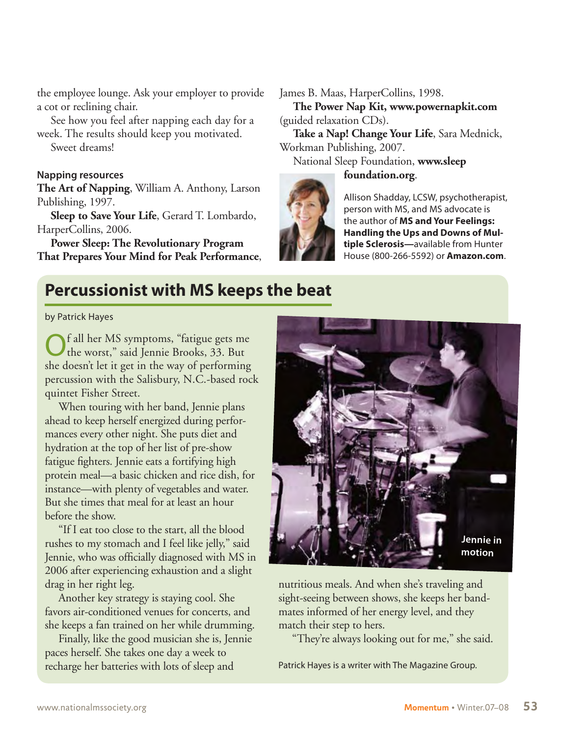the employee lounge. Ask your employer to provide a cot or reclining chair.

See how you feel after napping each day for a week. The results should keep you motivated.

Sweet dreams!

### **Napping resources**

**The Art of Napping**, William A. Anthony, Larson Publishing, 1997.

**Sleep to Save Your Life**, Gerard T. Lombardo, HarperCollins, 2006.

**Power Sleep: The Revolutionary Program That Prepares Your Mind for Peak Performance**,

### James B. Maas, HarperCollins, 1998.

**The Power Nap Kit, www.powernapkit.com** (guided relaxation CDs).

**Take a Nap! Change Your Life**, Sara Mednick, Workman Publishing, 2007.

National Sleep Foundation, **www.sleep**

### **foundation.org**.



Allison Shadday, LCSW, psychotherapist, person with MS, and MS advocate is the author of **MS and Your Feelings: Handling the Ups and Downs of Multiple Sclerosis—**available from Hunter House (800-266-5592) or **Amazon.com**.

### **Percussionist with MS keeps the beat**

by Patrick Hayes

f all her MS symptoms, "fatigue gets me the worst," said Jennie Brooks, 33. But she doesn't let it get in the way of performing percussion with the Salisbury, N.C.-based rock quintet Fisher Street.

When touring with her band, Jennie plans ahead to keep herself energized during performances every other night. She puts diet and hydration at the top of her list of pre-show fatigue fighters. Jennie eats a fortifying high protein meal—a basic chicken and rice dish, for instance—with plenty of vegetables and water. But she times that meal for at least an hour before the show.

"If I eat too close to the start, all the blood rushes to my stomach and I feel like jelly," said Jennie, who was officially diagnosed with MS in 2006 after experiencing exhaustion and a slight drag in her right leg.

Another key strategy is staying cool. She favors air-conditioned venues for concerts, and she keeps a fan trained on her while drumming.

Finally, like the good musician she is, Jennie paces herself. She takes one day a week to recharge her batteries with lots of sleep and



nutritious meals. And when she's traveling and sight-seeing between shows, she keeps her bandmates informed of her energy level, and they match their step to hers.

"They're always looking out for me," she said.

Patrick Hayes is a writer with The Magazine Group.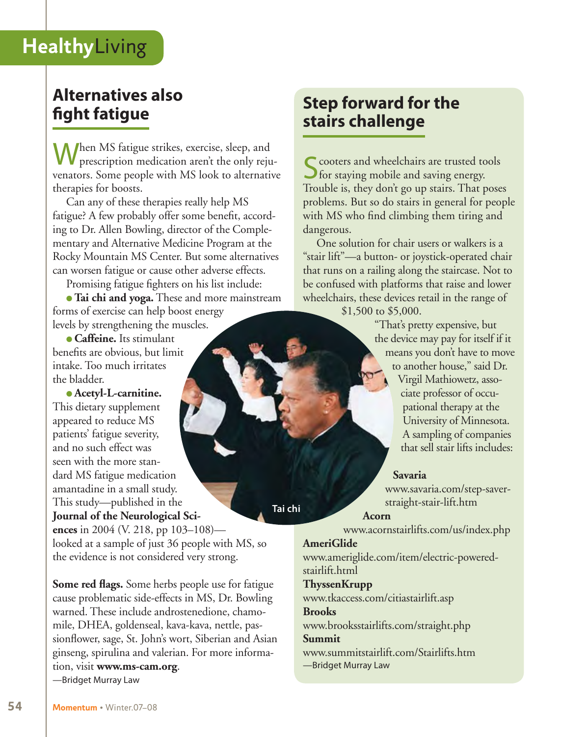## **Alternatives also fight fatigue**

When MS fatigue strikes, exercise, sleep, and prescription medication aren't the only rejuvenators. Some people with MS look to alternative therapies for boosts.

Can any of these therapies really help MS fatigue? A few probably offer some benefit, according to Dr. Allen Bowling, director of the Complementary and Alternative Medicine Program at the Rocky Mountain MS Center. But some alternatives can worsen fatigue or cause other adverse effects.

Promising fatigue fighters on his list include:

<sup>l</sup>**Tai chi and yoga.** These and more mainstream forms of exercise can help boost energy levels by strengthening the muscles.

<sup>l</sup>**Caffeine.** Its stimulant benefits are obvious, but limit intake. Too much irritates the bladder.

**• Acetyl-L-carnitine.** This dietary supplement appeared to reduce MS patients' fatigue severity, and no such effect was seen with the more standard MS fatigue medication amantadine in a small study. This study—published in the **Journal of the Neurological Sciences** in 2004 (V. 218, pp 103–108) looked at a sample of just 36 people with MS, so

the evidence is not considered very strong.

**Some red flags.** Some herbs people use for fatigue cause problematic side-effects in MS, Dr. Bowling warned. These include androstenedione, chamomile, DHEA, goldenseal, kava-kava, nettle, passionflower, sage, St. John's wort, Siberian and Asian ginseng, spirulina and valerian. For more information, visit **www.ms-cam.org**. —Bridget Murray Law

## **Step forward for the stairs challenge**

S cooters and wheelchairs are trusted tools<br>
S for staying mobile and saving energy. Trouble is, they don't go up stairs. That poses problems. But so do stairs in general for people with MS who find climbing them tiring and dangerous.

One solution for chair users or walkers is a "stair lift"—a button- or joystick-operated chair that runs on a railing along the staircase. Not to be confused with platforms that raise and lower wheelchairs, these devices retail in the range of \$1,500 to \$5,000.

> "That's pretty expensive, but the device may pay for itself if it means you don't have to move to another house," said Dr.

Virgil Mathiowetz, associate professor of occupational therapy at the University of Minnesota. A sampling of companies that sell stair lifts includes:

### **Savaria**

www.savaria.com/step-saverstraight-stair-lift.htm

#### **Acorn**

www.acornstairlifts.com/us/index.php

### **AmeriGlide**

**Tai chi**

www.ameriglide.com/item/electric-poweredstairlift.html

### **ThyssenKrupp**

www.tkaccess.com/citiastairlift.asp **Brooks**

### www.brooksstairlifts.com/straight.php

**Summit**

www.summitstairlift.com/Stairlifts.htm —Bridget Murray Law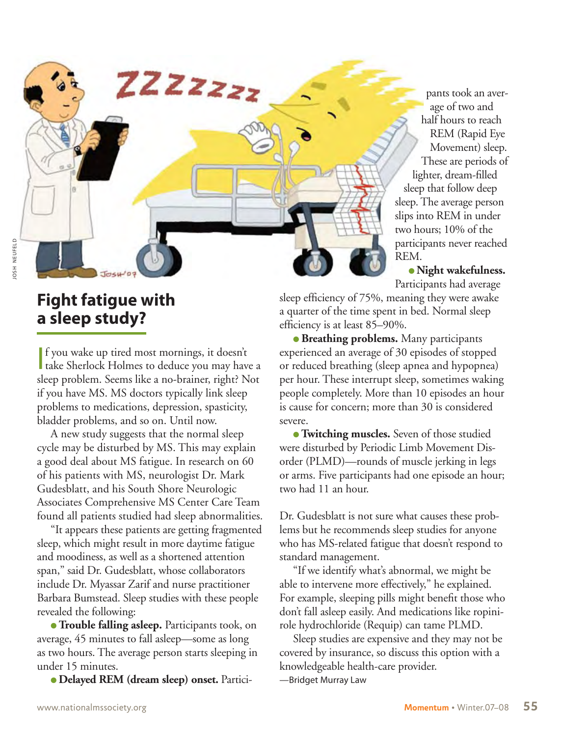age of two and half hours to reach REM (Rapid Eye Movement) sleep. These are periods of lighter, dream-filled sleep that follow deep sleep. The average person slips into REM in under two hours; 10% of the participants never reached REM.

pants took an aver-

**· Night wakefulness.** Participants had average

sleep efficiency of 75%, meaning they were awake a quarter of the time spent in bed. Normal sleep efficiency is at least 85–90%.

**• Breathing problems.** Many participants experienced an average of 30 episodes of stopped or reduced breathing (sleep apnea and hypopnea) per hour. These interrupt sleep, sometimes waking people completely. More than 10 episodes an hour is cause for concern; more than 30 is considered severe.

**Twitching muscles.** Seven of those studied were disturbed by Periodic Limb Movement Disorder (PLMD)—rounds of muscle jerking in legs or arms. Five participants had one episode an hour; two had 11 an hour.

Dr. Gudesblatt is not sure what causes these problems but he recommends sleep studies for anyone who has MS-related fatigue that doesn't respond to standard management.

"If we identify what's abnormal, we might be able to intervene more effectively," he explained. For example, sleeping pills might benefit those who don't fall asleep easily. And medications like ropinirole hydrochloride (Requip) can tame PLMD.

Sleep studies are expensive and they may not be covered by insurance, so discuss this option with a knowledgeable health-care provider.

—Bridget Murray Law

## **Fight fatigue with a sleep study?**

If you wake up tired most mornings, it doesn't<br>take Sherlock Holmes to deduce you may have a f you wake up tired most mornings, it doesn't sleep problem. Seems like a no-brainer, right? Not if you have MS. MS doctors typically link sleep problems to medications, depression, spasticity, bladder problems, and so on. Until now.

ZZZZzzz

A new study suggests that the normal sleep cycle may be disturbed by MS. This may explain a good deal about MS fatigue. In research on 60 of his patients with MS, neurologist Dr. Mark Gudesblatt, and his South Shore Neurologic Associates Comprehensive MS Center Care Team found all patients studied had sleep abnormalities.

"It appears these patients are getting fragmented sleep, which might result in more daytime fatigue and moodiness, as well as a shortened attention span," said Dr. Gudesblatt, whose collaborators include Dr. Myassar Zarif and nurse practitioner Barbara Bumstead. Sleep studies with these people revealed the following:

**• Trouble falling asleep.** Participants took, on average, 45 minutes to fall asleep—some as long as two hours. The average person starts sleeping in under 15 minutes.

l **Delayed REM (dream sleep) onset.** Partici-